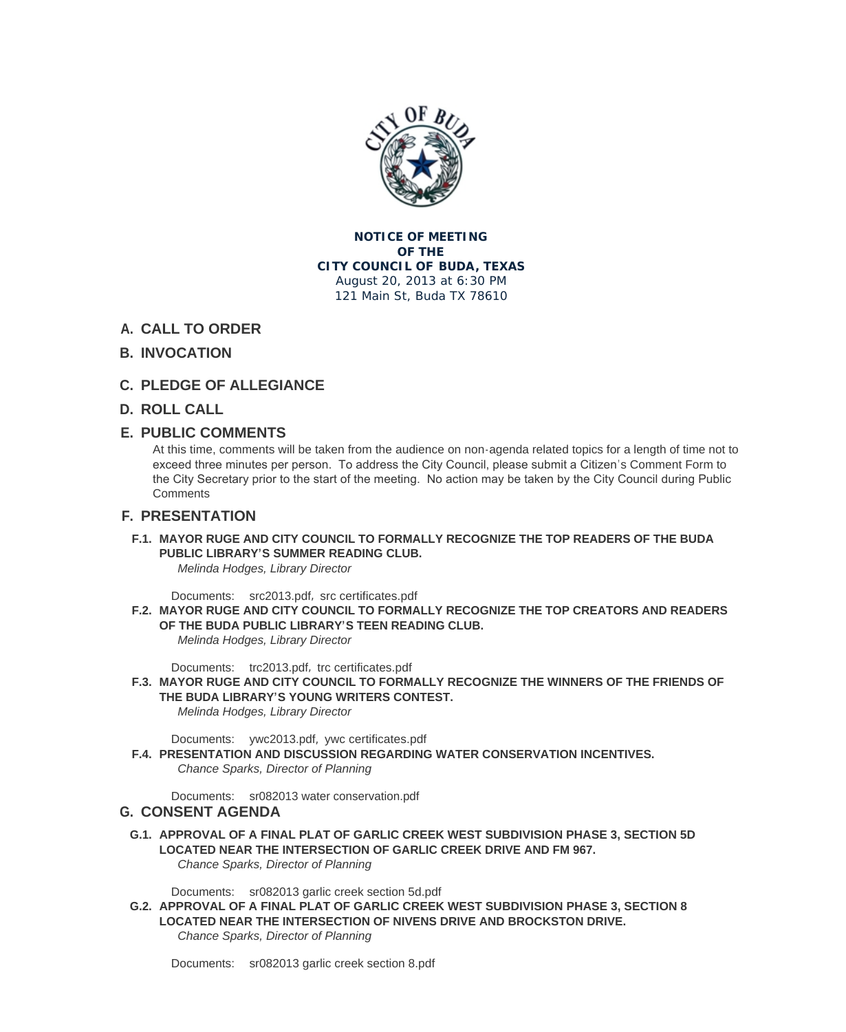

#### **NOTICE OF MEETING OF THE CITY COUNCIL OF BUDA, TEXAS** August 20, 2013 at 6:30 PM 121 Main St, Buda TX 78610

- **CALL TO ORDER A.**
- **INVOCATION B.**
- **PLEDGE OF ALLEGIANCE C.**
- **ROLL CALL D.**

# **PUBLIC COMMENTS E.**

At this time, comments will be taken from the audience on non-agenda related topics for a length of time not to exceed three minutes per person. To address the City Council, please submit a Citizen's Comment Form to the City Secretary prior to the start of the meeting. No action may be taken by the City Council during Public **Comments** 

## **PRESENTATION F.**

**MAYOR RUGE AND CITY COUNCIL TO FORMALLY RECOGNIZE THE TOP READERS OF THE BUDA F.1. PUBLIC LIBRARY'S SUMMER READING CLUB.** *Melinda Hodges, Library Director*

Documents: src2013.pdf, src certificates.pdf

**MAYOR RUGE AND CITY COUNCIL TO FORMALLY RECOGNIZE THE TOP CREATORS AND READERS F.2. OF THE BUDA PUBLIC LIBRARY'S TEEN READING CLUB.**

*Melinda Hodges, Library Director*

Documents: [trc2013.pdf](http://www.ci.buda.tx.us/AgendaCenter/ViewFile/Item/422?fileID=951), [trc certificates.pdf](http://www.ci.buda.tx.us/AgendaCenter/ViewFile/Item/422?fileID=952)

**MAYOR RUGE AND CITY COUNCIL TO FORMALLY RECOGNIZE THE WINNERS OF THE FRIENDS OF F.3. THE BUDA LIBRARY'S YOUNG WRITERS CONTEST.** *Melinda Hodges, Library Director*

Documents: [ywc2013.pd](http://www.ci.buda.tx.us/AgendaCenter/ViewFile/Item/423?fileID=953)f, [ywc certificates.p](http://www.ci.buda.tx.us/AgendaCenter/ViewFile/Item/423?fileID=954)df

**PRESENTATION AND DISCUSSION REGARDING WATER CONSERVATION INCENTIVES. F.4.** *Chance Sparks, Director of Planning*

Documents: [sr082013 wa](http://www.ci.buda.tx.us/AgendaCenter/ViewFile/Item/424?fileID=956)t[er conservation.pdf](http://www.ci.buda.tx.us/AgendaCenter/ViewFile/Item/424?fileID=955)

## **CONSENT AGENDA G.**

**APPROVAL OF A FINAL PLAT OF GARLIC CREEK WEST SUBDIVISION PHASE 3, SECTION 5D G.1. LOCATED NEA[R THE INTERSECTION OF GARL](http://www.ci.buda.tx.us/AgendaCenter/ViewFile/Item/435?fileID=964)IC CREEK DRIVE AND FM 967.** *Chance Sparks, Director of Planning*

Documents: sr082013 garlic creek section 5d.pdf

**APPROVAL OF A FINAL PLAT OF GARLIC CREEK WEST SUBDIVISION PHASE 3, SECTION 8 G.2. LOCATED NEAR THE INTERSECTION OF NIVENS DRIVE AND BROCKSTON DRIVE.** *Chance Sparks, Director of Planning*

Documents: [sr082013 garlic creek section 8.pdf](http://www.ci.buda.tx.us/AgendaCenter/ViewFile/Item/432?fileID=958)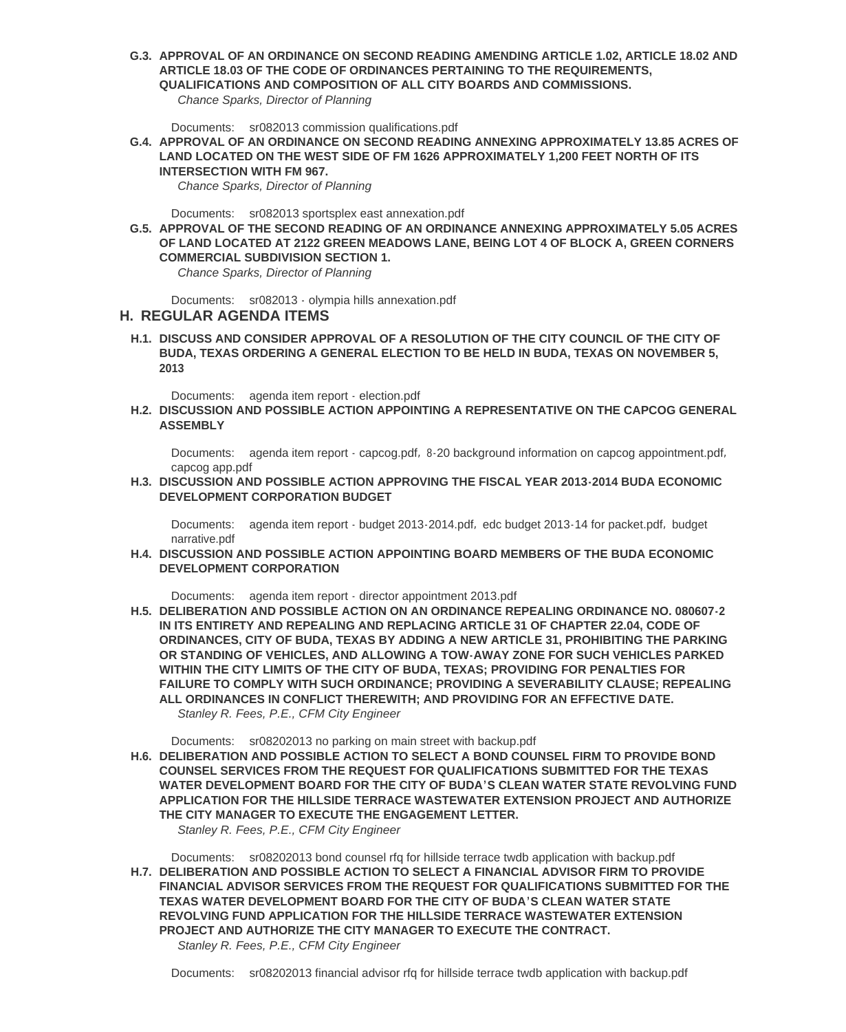**ARTICLE 18.03 OF THE CODE OF ORDINANCES PERTAINING TO THE REQUIREMENTS, QUALIFICATIONS AND COMPOSITION OF ALL CITY BOARDS AND COMMISSIONS.**

*Chance Sparks, Director of Planning*

Documents: sr082013 commission qualifications.pdf

**APPROVAL OF AN ORDINANCE ON SECOND READING ANNEXING APPROXIMATELY 13.85 ACRES OF G.4. LAND LOCATED ON THE WEST SIDE OF FM 1626 APPROXIMATELY 1,200 FEET NORTH OF ITS INTERSECTION WITH FM 967.**

*Chance Spar[ks, Director of Planning](http://www.ci.buda.tx.us/AgendaCenter/ViewFile/Item/429?fileID=960)*

Documents: sr082013 sportsplex east annexation.pdf

**APPROVAL OF THE SECOND READING OF AN ORDINANCE ANNEXING APPROXIMATELY 5.05 ACRES G.5. OF LAND LOCATED AT 2122 GREEN MEADOWS LANE, BEING LOT 4 OF BLOCK A, GREEN CORNERS COMMERCIAL SUBDIVISION SECTION 1.**

*Chance Spar[ks, Director of Planning](http://www.ci.buda.tx.us/AgendaCenter/ViewFile/Item/430?fileID=961)*

Documents: sr082013 - olympia hills annexation.pdf

#### **REGULAR AGENDA ITEMS H.**

**DISCUSS AND CONSIDER APPROVAL OF A RESOLUTION OF THE CITY COUNCIL OF THE CITY OF H.1. BUDA, TEXAS [ORDERING A GENERAL ELECTION TO](http://www.ci.buda.tx.us/AgendaCenter/ViewFile/Item/431?fileID=962) BE HELD IN BUDA, TEXAS ON NOVEMBER 5, 2013**

Documents: agenda item report - election.pdf

**DISCUSSION AND POSSIBLE ACTION APPOINTING A REPRESENTATIVE ON THE CAPCOG GENERAL H.2. ASSEMBLY**

Documents: [agenda item report - capcog.pdf](http://www.ci.buda.tx.us/AgendaCenter/ViewFile/Item/438?fileID=974), 8-20 background information on capcog appointment.pdf, capcog app.pdf

**DISCUSSION AND POSSIBLE ACTION APPROVING THE FISCAL YEAR 2013-2014 BUDA ECONOMIC H.3. DEVELOPMENT CORPORATION BUDGET**

Documents: [agenda item report](http://www.ci.buda.tx.us/AgendaCenter/ViewFile/Item/439?fileID=975) - [budget 2013](http://www.ci.buda.tx.us/AgendaCenter/ViewFile/Item/439?fileID=975)-2014.pdf, [edc budget 2013](http://www.ci.buda.tx.us/AgendaCenter/ViewFile/Item/439?fileID=976)-[14 for packet.pdf](http://www.ci.buda.tx.us/AgendaCenter/ViewFile/Item/439?fileID=976), budget narrative.pdf

**DISCUSSION AND POSSIBLE ACTION APPOINTING BOARD MEMBERS OF THE BUDA ECONOMIC H.4. DEVELOPMENT CORPORATION**

Documents: [agenda item report](http://www.ci.buda.tx.us/AgendaCenter/ViewFile/Item/436?fileID=970) - [director appointment 2](http://www.ci.buda.tx.us/AgendaCenter/ViewFile/Item/436?fileID=970)[013.pdf](http://www.ci.buda.tx.us/AgendaCenter/ViewFile/Item/436?fileID=971)

**DELIBERATION AND POSSIBLE ACTION ON AN ORDINANCE REPEALING ORDINANCE NO. 080607-2 H.5. IN ITS ENTIRETY AND REPEALING AND REPLACING ARTICLE 31 OF CHAPTER 22.04, CODE OF ORDINANCES, CITY OF BUDA, TEXAS BY ADDING A NEW ARTICLE 31, PROHIBITING THE PARKING OR STANDING [OF VEHICLES, AND ALLOWING A TOW-AWAY Z](http://www.ci.buda.tx.us/AgendaCenter/ViewFile/Item/437?fileID=977)ONE FOR SUCH VEHICLES PARKED WITHIN THE CITY LIMITS OF THE CITY OF BUDA, TEXAS; PROVIDING FOR PENALTIES FOR FAILURE TO COMPLY WITH SUCH ORDINANCE; PROVIDING A SEVERABILITY CLAUSE; REPEALING ALL ORDINANCES IN CONFLICT THEREWITH; AND PROVIDING FOR AN EFFECTIVE DATE.** *Stanley R. Fees, P.E., CFM City Engineer* 

sr08202013 no parking on main street with backup.pdf Documents:

**DELIBERATION AND POSSIBLE ACTION TO SELECT A BOND COUNSEL FIRM TO PROVIDE BOND H.6. COUNSEL SERVICES FROM THE REQUEST FOR QUALIFICATIONS SUBMITTED FOR THE TEXAS WATER DEVELOPMENT BOARD FOR THE CITY OF BUDA'S CLEAN WATER STATE REVOLVING FUND APPLICATION F[OR THE HILLSIDE TERRACE WASTEWATER EXTEN](http://www.ci.buda.tx.us/AgendaCenter/ViewFile/Item/425?fileID=957)SION PROJECT AND AUTHORIZE THE CITY MANAGER TO EXECUTE THE ENGAGEMENT LETTER.**

*Stanley R. Fees, P.E., CFM City Engineer* 

Documents: sr08202013 bond counsel rfq for hillside terrace twdb application with backup.pdf **DELIBERATION AND POSSIBLE ACTION TO SELECT A FINANCIAL ADVISOR FIRM TO PROVIDE H.7. FINANCIAL ADVISOR SERVICES FROM THE REQUEST FOR QUALIFICATIONS SUBMITTED FOR THE TEXAS WATER DEVELOPMENT BOARD FOR THE CITY OF BUDA'S CLEAN WATER STATE REVOLVING FU[ND APPLICATION FOR THE HILLSIDE TERRACE WASTEWATER EXTENSION](http://www.ci.buda.tx.us/AgendaCenter/ViewFile/Item/428?fileID=969) PROJECT AND AUTHORIZE THE CITY MANAGER TO EXECUTE THE CONTRACT.** *Stanley R. Fees, P.E., CFM City Engineer* 

Documents: sr08202013 financial advisor rfq for hillside terrace twdb application with backup.pdf